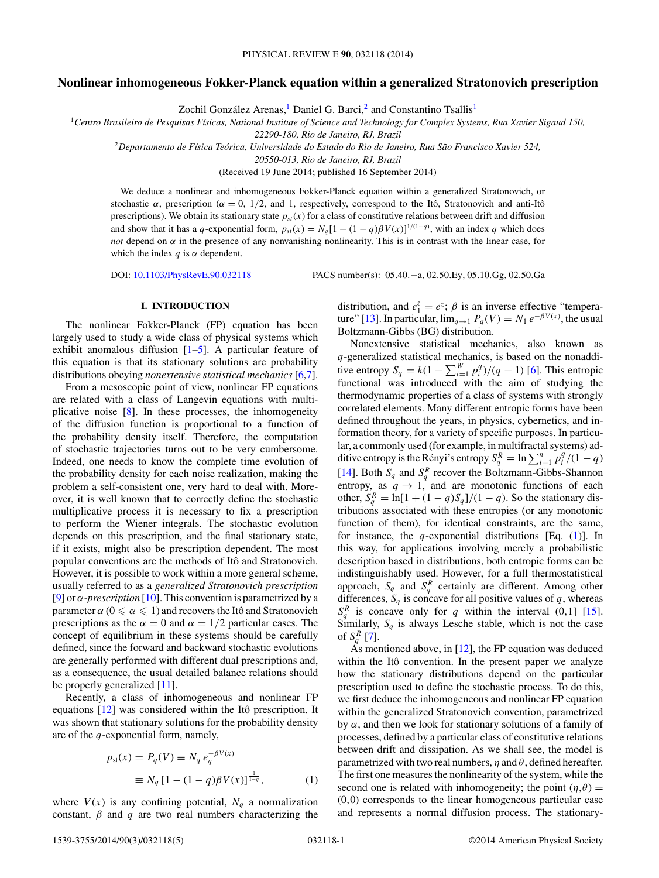## <span id="page-0-0"></span>**Nonlinear inhomogeneous Fokker-Planck equation within a generalized Stratonovich prescription**

Zochil González Arenas,<sup>1</sup> Daniel G. Barci,<sup>2</sup> and Constantino Tsallis<sup>1</sup>

<sup>1</sup>*Centro Brasileiro de Pesquisas F´ısicas, National Institute of Science and Technology for Complex Systems, Rua Xavier Sigaud 150,*

*22290-180, Rio de Janeiro, RJ, Brazil*

<sup>2</sup>*Departamento de F´ısica Teorica, Universidade do Estado do Rio de Janeiro, Rua S ´ ao Francisco Xavier 524, ˜*

*20550-013, Rio de Janeiro, RJ, Brazil*

(Received 19 June 2014; published 16 September 2014)

We deduce a nonlinear and inhomogeneous Fokker-Planck equation within a generalized Stratonovich, or stochastic  $\alpha$ , prescription ( $\alpha = 0$ , 1/2, and 1, respectively, correspond to the Itô, Stratonovich and anti-Itô prescriptions). We obtain its stationary state  $p_{st}(x)$  for a class of constitutive relations between drift and diffusion and show that it has a *q*-exponential form,  $p_{st}(x) = N_q[1 - (1 - q)\beta V(x)]^{1/(1-q)}$ , with an index *q* which does *not* depend on  $\alpha$  in the presence of any nonvanishing nonlinearity. This is in contrast with the linear case, for which the index  $q$  is  $\alpha$  dependent.

DOI: [10.1103/PhysRevE.90.032118](http://dx.doi.org/10.1103/PhysRevE.90.032118) PACS number(s): 05*.*40*.*−a*,* 02*.*50*.*Ey*,* 05*.*10*.*Gg*,* 02*.*50*.*Ga

#### **I. INTRODUCTION**

The nonlinear Fokker-Planck (FP) equation has been largely used to study a wide class of physical systems which exhibit anomalous diffusion  $[1–5]$ . A particular feature of this equation is that its stationary solutions are probability distributions obeying *nonextensive statistical mechanics* [\[6,7\]](#page-4-0).

From a mesoscopic point of view, nonlinear FP equations are related with a class of Langevin equations with multiplicative noise [\[8\]](#page-4-0). In these processes, the inhomogeneity of the diffusion function is proportional to a function of the probability density itself. Therefore, the computation of stochastic trajectories turns out to be very cumbersome. Indeed, one needs to know the complete time evolution of the probability density for each noise realization, making the problem a self-consistent one, very hard to deal with. Moreover, it is well known that to correctly define the stochastic multiplicative process it is necessary to fix a prescription to perform the Wiener integrals. The stochastic evolution depends on this prescription, and the final stationary state, if it exists, might also be prescription dependent. The most popular conventions are the methods of Itô and Stratonovich. However, it is possible to work within a more general scheme, usually referred to as a *generalized Stratonovich prescription* [\[9\]](#page-4-0) or *α-prescription* [\[10\]](#page-4-0). This convention is parametrized by a parameter  $\alpha$  ( $0 \leqslant \alpha \leqslant 1$ ) and recovers the Itô and Stratonovich prescriptions as the  $\alpha = 0$  and  $\alpha = 1/2$  particular cases. The concept of equilibrium in these systems should be carefully defined, since the forward and backward stochastic evolutions are generally performed with different dual prescriptions and, as a consequence, the usual detailed balance relations should be properly generalized [\[11\]](#page-4-0).

Recently, a class of inhomogeneous and nonlinear FP equations  $[12]$  was considered within the Itô prescription. It was shown that stationary solutions for the probability density are of the *q*-exponential form, namely,

$$
p_{st}(x) = P_q(V) \equiv N_q e_q^{-\beta V(x)}
$$
  

$$
\equiv N_q [1 - (1 - q)\beta V(x)]^{\frac{1}{1 - q}},
$$
 (1)

where  $V(x)$  is any confining potential,  $N_q$  a normalization constant,  $\beta$  and  $q$  are two real numbers characterizing the

distribution, and  $e_1^z = e^z$ ;  $\beta$  is an inverse effective "tempera-ture" [\[13\]](#page-4-0). In particular,  $\lim_{q\to 1} P_q(V) = N_1 e^{-\beta V(x)}$ , the usual Boltzmann-Gibbs (BG) distribution.

Nonextensive statistical mechanics, also known as *q*-generalized statistical mechanics, is based on the nonadditive entropy  $S_q = k(1 - \sum_{i=1}^{W} p_i^q)/(q-1)$  [\[6\]](#page-4-0). This entropic functional was introduced with the aim of studying the thermodynamic properties of a class of systems with strongly correlated elements. Many different entropic forms have been defined throughout the years, in physics, cybernetics, and information theory, for a variety of specific purposes. In particular, a commonly used (for example, in multifractal systems) additive entropy is the Rényi's entropy  $S_q^R = \ln \sum_{i=1}^n p_i^q/(1-q)$ [\[14\]](#page-4-0). Both  $S_q$  and  $S_q^R$  recover the Boltzmann-Gibbs-Shannon entropy, as  $q \rightarrow 1$ , and are monotonic functions of each other,  $S_q^R = \ln[1 + (1 - q)S_q]/(1 - q)$ . So the stationary distributions associated with these entropies (or any monotonic function of them), for identical constraints, are the same, for instance, the *q*-exponential distributions [Eq. (1)]. In this way, for applications involving merely a probabilistic description based in distributions, both entropic forms can be indistinguishably used. However, for a full thermostatistical approach,  $S_q$  and  $S_q^R$  certainly are different. Among other differences,  $S_q$  is concave for all positive values of  $q$ , whereas  $S_q^R$  is concave only for *q* within the interval (0,1] [\[15\]](#page-4-0). Similarly,  $S_q$  is always Lesche stable, which is not the case of  $S_q^R$  [\[7\]](#page-4-0).

As mentioned above, in  $[12]$ , the FP equation was deduced within the Itô convention. In the present paper we analyze how the stationary distributions depend on the particular prescription used to define the stochastic process. To do this, we first deduce the inhomogeneous and nonlinear FP equation within the generalized Stratonovich convention, parametrized by *α*, and then we look for stationary solutions of a family of processes, defined by a particular class of constitutive relations between drift and dissipation. As we shall see, the model is parametrized with two real numbers,  $\eta$  and  $\theta$ , defined hereafter. The first one measures the nonlinearity of the system, while the second one is related with inhomogeneity; the point  $(\eta,\theta)$  = (0*,*0) corresponds to the linear homogeneous particular case and represents a normal diffusion process. The stationary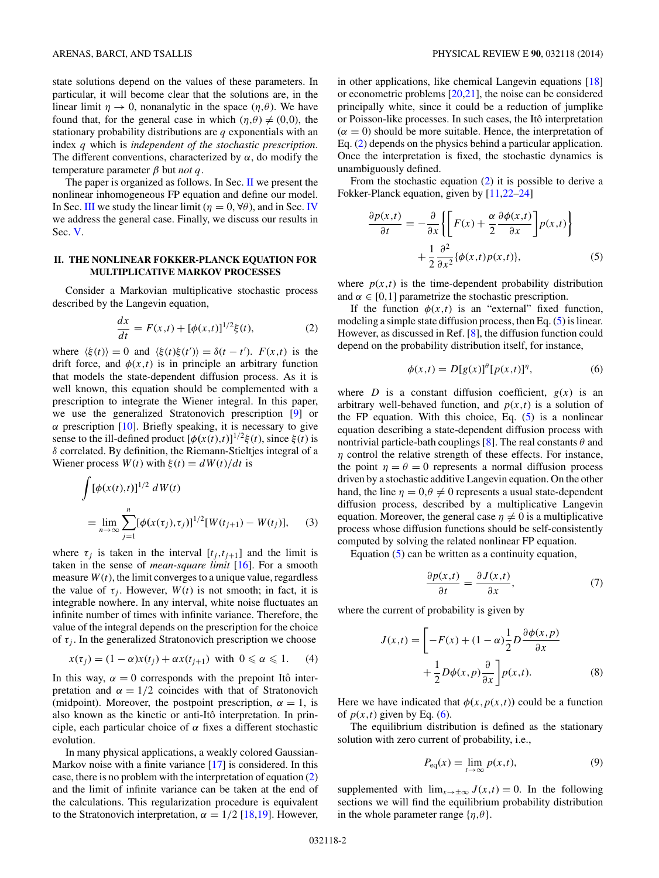<span id="page-1-0"></span>state solutions depend on the values of these parameters. In particular, it will become clear that the solutions are, in the linear limit  $\eta \to 0$ , nonanalytic in the space  $(\eta, \theta)$ . We have found that, for the general case in which  $(\eta,\theta) \neq (0,0)$ , the stationary probability distributions are *q* exponentials with an index *q* which is *independent of the stochastic prescription*. The different conventions, characterized by  $\alpha$ , do modify the temperature parameter *β* but *not q*.

The paper is organized as follows. In Sec. II we present the nonlinear inhomogeneous FP equation and define our model. In Sec. [III](#page-2-0) we study the linear limit ( $\eta = 0$ ,  $\forall \theta$ ), and in Sec. [IV](#page-2-0) we address the general case. Finally, we discuss our results in Sec. [V.](#page-3-0)

## **II. THE NONLINEAR FOKKER-PLANCK EQUATION FOR MULTIPLICATIVE MARKOV PROCESSES**

Consider a Markovian multiplicative stochastic process described by the Langevin equation,

$$
\frac{dx}{dt} = F(x,t) + [\phi(x,t)]^{1/2}\xi(t),
$$
 (2)

where  $\langle \xi(t) \rangle = 0$  and  $\langle \xi(t) \xi(t') \rangle = \delta(t - t')$ .  $F(x, t)$  is the drift force, and  $\phi(x,t)$  is in principle an arbitrary function that models the state-dependent diffusion process. As it is well known, this equation should be complemented with a prescription to integrate the Wiener integral. In this paper, we use the generalized Stratonovich prescription [\[9\]](#page-4-0) or *α* prescription [\[10\]](#page-4-0). Briefly speaking, it is necessary to give sense to the ill-defined product  $[\phi(x(t),t)]^{1/2}\xi(t)$ , since  $\xi(t)$  is *δ* correlated. By definition, the Riemann-Stieltjes integral of a Wiener process  $W(t)$  with  $\xi(t) = dW(t)/dt$  is

$$
\int [\phi(x(t),t)]^{1/2} dW(t)
$$
  
= 
$$
\lim_{n \to \infty} \sum_{j=1}^{n} [\phi(x(\tau_j), \tau_j)]^{1/2} [W(t_{j+1}) - W(t_j)],
$$
 (3)

where  $\tau_i$  is taken in the interval  $[t_i, t_{i+1}]$  and the limit is taken in the sense of *mean-square limit* [\[16\]](#page-4-0). For a smooth measure  $W(t)$ , the limit converges to a unique value, regardless the value of  $\tau_i$ . However,  $W(t)$  is not smooth; in fact, it is integrable nowhere. In any interval, white noise fluctuates an infinite number of times with infinite variance. Therefore, the value of the integral depends on the prescription for the choice of  $\tau_i$ . In the generalized Stratonovich prescription we choose

$$
x(\tau_j) = (1 - \alpha)x(t_j) + \alpha x(t_{j+1}) \text{ with } 0 \le \alpha \le 1. \tag{4}
$$

In this way,  $\alpha = 0$  corresponds with the prepoint Itô interpretation and  $\alpha = 1/2$  coincides with that of Stratonovich (midpoint). Moreover, the postpoint prescription,  $\alpha = 1$ , is also known as the kinetic or anti-Itô interpretation. In principle, each particular choice of *α* fixes a different stochastic evolution.

In many physical applications, a weakly colored Gaussian-Markov noise with a finite variance [\[17\]](#page-4-0) is considered. In this case, there is no problem with the interpretation of equation (2) and the limit of infinite variance can be taken at the end of the calculations. This regularization procedure is equivalent to the Stratonovich interpretation,  $\alpha = 1/2$  [\[18,19\]](#page-4-0). However,

in other applications, like chemical Langevin equations [\[18\]](#page-4-0) or econometric problems [\[20,21\]](#page-4-0), the noise can be considered principally white, since it could be a reduction of jumplike or Poisson-like processes. In such cases, the Itô interpretation  $(\alpha = 0)$  should be more suitable. Hence, the interpretation of Eq. (2) depends on the physics behind a particular application. Once the interpretation is fixed, the stochastic dynamics is unambiguously defined.

From the stochastic equation  $(2)$  it is possible to derive a Fokker-Planck equation, given by [\[11,22–24\]](#page-4-0)

$$
\frac{\partial p(x,t)}{\partial t} = -\frac{\partial}{\partial x} \left\{ \left[ F(x) + \frac{\alpha}{2} \frac{\partial \phi(x,t)}{\partial x} \right] p(x,t) \right\} \n+ \frac{1}{2} \frac{\partial^2}{\partial x^2} \{ \phi(x,t) p(x,t) \},
$$
\n(5)

where  $p(x,t)$  is the time-dependent probability distribution and  $\alpha \in [0,1]$  parametrize the stochastic prescription.

If the function  $\phi(x,t)$  is an "external" fixed function, modeling a simple state diffusion process, then Eq. (5) is linear. However, as discussed in Ref. [\[8\]](#page-4-0), the diffusion function could depend on the probability distribution itself, for instance,

$$
\phi(x,t) = D[g(x)]^{\theta} [p(x,t)]^{\eta}, \tag{6}
$$

where *D* is a constant diffusion coefficient,  $g(x)$  is an arbitrary well-behaved function, and  $p(x,t)$  is a solution of the FP equation. With this choice, Eq.  $(5)$  is a nonlinear equation describing a state-dependent diffusion process with nontrivial particle-bath couplings [\[8\]](#page-4-0). The real constants *θ* and *η* control the relative strength of these effects. For instance, the point  $\eta = \theta = 0$  represents a normal diffusion process driven by a stochastic additive Langevin equation. On the other hand, the line  $\eta = 0, \theta \neq 0$  represents a usual state-dependent diffusion process, described by a multiplicative Langevin equation. Moreover, the general case  $\eta \neq 0$  is a multiplicative process whose diffusion functions should be self-consistently computed by solving the related nonlinear FP equation.

Equation (5) can be written as a continuity equation,

$$
\frac{\partial p(x,t)}{\partial t} = \frac{\partial J(x,t)}{\partial x},\tag{7}
$$

where the current of probability is given by

$$
J(x,t) = \left[ -F(x) + (1 - \alpha) \frac{1}{2} D \frac{\partial \phi(x, p)}{\partial x} + \frac{1}{2} D \phi(x, p) \frac{\partial}{\partial x} \right] p(x,t).
$$
 (8)

Here we have indicated that  $\phi(x, p(x,t))$  could be a function of  $p(x,t)$  given by Eq. (6).

The equilibrium distribution is defined as the stationary solution with zero current of probability, i.e.,

$$
P_{\text{eq}}(x) = \lim_{t \to \infty} p(x, t), \tag{9}
$$

supplemented with  $\lim_{x \to \pm \infty} J(x,t) = 0$ . In the following sections we will find the equilibrium probability distribution in the whole parameter range  $\{\eta, \theta\}$ .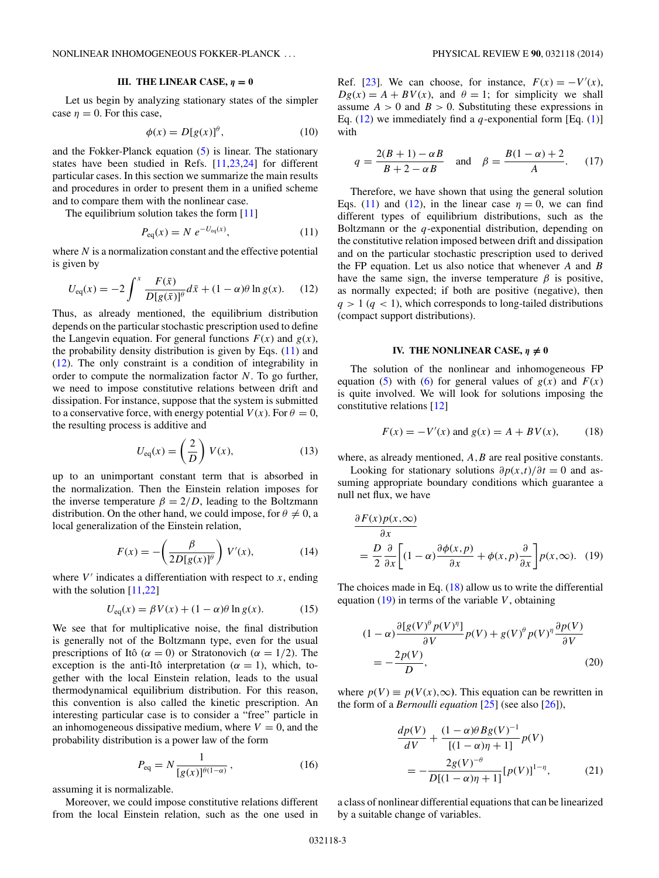## **III.** THE LINEAR CASE,  $\eta = 0$

<span id="page-2-0"></span>Let us begin by analyzing stationary states of the simpler case  $n = 0$ . For this case,

$$
\phi(x) = D[g(x)]^{\theta},\tag{10}
$$

and the Fokker-Planck equation [\(5\)](#page-1-0) is linear. The stationary states have been studied in Refs. [\[11,23,24\]](#page-4-0) for different particular cases. In this section we summarize the main results and procedures in order to present them in a unified scheme and to compare them with the nonlinear case.

The equilibrium solution takes the form [\[11\]](#page-4-0)

$$
P_{\rm eq}(x) = N \ e^{-U_{\rm eq}(x)},\tag{11}
$$

where *N* is a normalization constant and the effective potential is given by

$$
U_{\text{eq}}(x) = -2 \int^x \frac{F(\bar{x})}{D[g(\bar{x})]^\theta} d\bar{x} + (1 - \alpha)\theta \ln g(x). \tag{12}
$$

Thus, as already mentioned, the equilibrium distribution depends on the particular stochastic prescription used to define the Langevin equation. For general functions  $F(x)$  and  $g(x)$ , the probability density distribution is given by Eqs.  $(11)$  and (12). The only constraint is a condition of integrability in order to compute the normalization factor *N*. To go further, we need to impose constitutive relations between drift and dissipation. For instance, suppose that the system is submitted to a conservative force, with energy potential  $V(x)$ . For  $\theta = 0$ , the resulting process is additive and

$$
U_{\text{eq}}(x) = \left(\frac{2}{D}\right) V(x),\tag{13}
$$

up to an unimportant constant term that is absorbed in the normalization. Then the Einstein relation imposes for the inverse temperature  $\beta = 2/D$ , leading to the Boltzmann distribution. On the other hand, we could impose, for  $\theta \neq 0$ , a local generalization of the Einstein relation,

$$
F(x) = -\left(\frac{\beta}{2D[g(x)]^{\theta}}\right)V'(x),\tag{14}
$$

where  $V'$  indicates a differentiation with respect to  $x$ , ending with the solution  $[11,22]$ 

$$
U_{\text{eq}}(x) = \beta V(x) + (1 - \alpha)\theta \ln g(x). \tag{15}
$$

We see that for multiplicative noise, the final distribution is generally not of the Boltzmann type, even for the usual prescriptions of Itô ( $\alpha = 0$ ) or Stratonovich ( $\alpha = 1/2$ ). The exception is the anti-Itô interpretation ( $\alpha = 1$ ), which, together with the local Einstein relation, leads to the usual thermodynamical equilibrium distribution. For this reason, this convention is also called the kinetic prescription. An interesting particular case is to consider a "free" particle in an inhomogeneous dissipative medium, where  $V = 0$ , and the probability distribution is a power law of the form

$$
P_{\text{eq}} = N \frac{1}{[g(x)]^{\theta(1-\alpha)}},\tag{16}
$$

assuming it is normalizable.

Moreover, we could impose constitutive relations different from the local Einstein relation, such as the one used in

Ref. [\[23\]](#page-4-0). We can choose, for instance,  $F(x) = -V'(x)$ ,  $Dg(x) = A + BV(x)$ , and  $\theta = 1$ ; for simplicity we shall assume  $A > 0$  and  $B > 0$ . Substituting these expressions in Eq.  $(12)$  we immediately find a *q*-exponential form [Eq.  $(1)$ ] with

$$
q = \frac{2(B+1) - \alpha B}{B+2 - \alpha B}
$$
 and  $\beta = \frac{B(1-\alpha)+2}{A}$ . (17)

Therefore, we have shown that using the general solution Eqs. (11) and (12), in the linear case  $\eta = 0$ , we can find different types of equilibrium distributions, such as the Boltzmann or the *q*-exponential distribution, depending on the constitutive relation imposed between drift and dissipation and on the particular stochastic prescription used to derived the FP equation. Let us also notice that whenever *A* and *B* have the same sign, the inverse temperature  $\beta$  is positive, as normally expected; if both are positive (negative), then  $q > 1$  ( $q < 1$ ), which corresponds to long-tailed distributions (compact support distributions).

## **IV.** THE NONLINEAR CASE,  $\eta \neq 0$

The solution of the nonlinear and inhomogeneous FP equation [\(5\)](#page-1-0) with [\(6\)](#page-1-0) for general values of  $g(x)$  and  $F(x)$ is quite involved. We will look for solutions imposing the constitutive relations [\[12\]](#page-4-0)

$$
F(x) = -V'(x)
$$
 and  $g(x) = A + BV(x)$ , (18)

where, as already mentioned, *A*, *B* are real positive constants.

Looking for stationary solutions  $\partial p(x,t)/\partial t = 0$  and assuming appropriate boundary conditions which guarantee a null net flux, we have

$$
\frac{\partial F(x)p(x,\infty)}{\partial x}
$$
\n
$$
= \frac{D}{2} \frac{\partial}{\partial x} \left[ (1-\alpha) \frac{\partial \phi(x,p)}{\partial x} + \phi(x,p) \frac{\partial}{\partial x} \right] p(x,\infty).
$$
 (19)

The choices made in Eq.  $(18)$  allow us to write the differential equation  $(19)$  in terms of the variable *V*, obtaining

$$
(1 - \alpha) \frac{\partial [g(V)^{\theta} p(V)^{\eta}]}{\partial V} p(V) + g(V)^{\theta} p(V)^{\eta} \frac{\partial p(V)}{\partial V}
$$
  
= 
$$
-\frac{2p(V)}{D},
$$
 (20)

where  $p(V) \equiv p(V(x), \infty)$ . This equation can be rewritten in the form of a *Bernoulli equation* [\[25\]](#page-4-0) (see also [\[26\]](#page-4-0)),

$$
\frac{dp(V)}{dV} + \frac{(1-\alpha)\theta Bg(V)^{-1}}{[(1-\alpha)\eta + 1]}p(V)
$$

$$
= -\frac{2g(V)^{-\theta}}{D[(1-\alpha)\eta + 1]}[p(V)]^{1-\eta}, \qquad (21)
$$

a class of nonlinear differential equations that can be linearized by a suitable change of variables.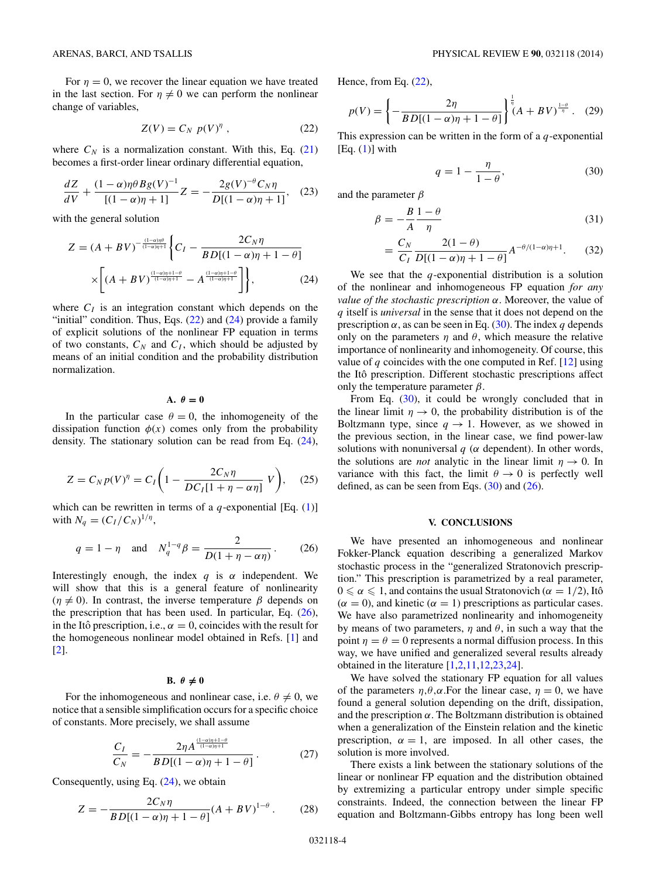<span id="page-3-0"></span>For  $\eta = 0$ , we recover the linear equation we have treated in the last section. For  $\eta \neq 0$  we can perform the nonlinear change of variables,

$$
Z(V) = C_N p(V)^{\eta} , \qquad (22)
$$

where  $C_N$  is a normalization constant. With this, Eq.  $(21)$ becomes a first-order linear ordinary differential equation,

$$
\frac{dZ}{dV} + \frac{(1-\alpha)\eta\theta Bg(V)^{-1}}{[(1-\alpha)\eta+1]}Z = -\frac{2g(V)^{-\theta}C_N\eta}{D[(1-\alpha)\eta+1]},\quad(23)
$$

with the general solution

$$
Z = (A + BV)^{-\frac{(1-\alpha)\eta\theta}{(1-\alpha)\eta+1}} \left\{ C_I - \frac{2C_N\eta}{BD[(1-\alpha)\eta+1-\theta]} \times \left[ (A + BV)^{\frac{(1-\alpha)\eta+1-\theta}{(1-\alpha)\eta+1}} - A^{\frac{(1-\alpha)\eta+1-\theta}{(1-\alpha)\eta+1}} \right] \right\},
$$
(24)

where  $C_I$  is an integration constant which depends on the "initial" condition. Thus, Eqs. (22) and (24) provide a family of explicit solutions of the nonlinear FP equation in terms of two constants,  $C_N$  and  $C_I$ , which should be adjusted by means of an initial condition and the probability distribution normalization.

 $A. \theta = 0$ 

In the particular case  $\theta = 0$ , the inhomogeneity of the dissipation function  $\phi(x)$  comes only from the probability density. The stationary solution can be read from Eq. (24),

$$
Z = C_N p(V)^{\eta} = C_I \bigg( 1 - \frac{2C_N \eta}{DC_I [1 + \eta - \alpha \eta]} V \bigg), \quad (25)
$$

which can be rewritten in terms of a  $q$ -exponential [Eq. [\(1\)](#page-0-0)] with  $N_q = (C_I/C_N)^{1/\eta}$ ,

$$
q = 1 - \eta
$$
 and  $N_q^{1-q} \beta = \frac{2}{D(1 + \eta - \alpha \eta)}$ . (26)

Interestingly enough, the index *q* is *α* independent. We will show that this is a general feature of nonlinearity  $(\eta \neq 0)$ . In contrast, the inverse temperature  $\beta$  depends on the prescription that has been used. In particular, Eq. (26), in the Itô prescription, i.e.,  $\alpha = 0$ , coincides with the result for the homogeneous nonlinear model obtained in Refs. [\[1\]](#page-4-0) and [\[2\]](#page-4-0).

# **B.**  $\theta \neq 0$

For the inhomogeneous and nonlinear case, i.e.  $\theta \neq 0$ , we notice that a sensible simplification occurs for a specific choice of constants. More precisely, we shall assume

$$
\frac{C_I}{C_N} = -\frac{2\eta A^{\frac{(1-\alpha)\eta + 1-\theta}{(1-\alpha)\eta + 1}}}{BD[(1-\alpha)\eta + 1-\theta]}.
$$
 (27)

Consequently, using Eq.  $(24)$ , we obtain

$$
Z = -\frac{2C_N \eta}{BD[(1-\alpha)\eta + 1 - \theta]} (A + BV)^{1-\theta}.
$$
 (28)

Hence, from Eq. (22),

$$
p(V) = \left\{ -\frac{2\eta}{BD[(1-\alpha)\eta + 1-\theta]} \right\}^{\frac{1}{\eta}} (A + BV)^{\frac{1-\theta}{\eta}}.
$$
 (29)

This expression can be written in the form of a *q*-exponential  $[Eq. (1)]$  $[Eq. (1)]$  $[Eq. (1)]$  with

$$
q = 1 - \frac{\eta}{1 - \theta},\tag{30}
$$

and the parameter *β*

$$
\beta = -\frac{B}{A} \frac{1 - \theta}{\eta} \tag{31}
$$

$$
= \frac{C_N}{C_I} \frac{2(1-\theta)}{D[(1-\alpha)\eta + 1 - \theta]} A^{-\theta/(1-\alpha)\eta + 1}.
$$
 (32)

We see that the *q*-exponential distribution is a solution of the nonlinear and inhomogeneous FP equation *for any value of the stochastic prescription α*. Moreover, the value of *q* itself is *universal* in the sense that it does not depend on the prescription *α*, as can be seen in Eq. (30). The index *q* depends only on the parameters  $\eta$  and  $\theta$ , which measure the relative importance of nonlinearity and inhomogeneity. Of course, this value of  $q$  coincides with the one computed in Ref.  $[12]$  using the Itô prescription. Different stochastic prescriptions affect only the temperature parameter  $\beta$ .

From Eq. (30), it could be wrongly concluded that in the linear limit  $\eta \to 0$ , the probability distribution is of the Boltzmann type, since  $q \to 1$ . However, as we showed in the previous section, in the linear case, we find power-law solutions with nonuniversal  $q$  ( $\alpha$  dependent). In other words, the solutions are *not* analytic in the linear limit  $\eta \to 0$ . In variance with this fact, the limit  $\theta \to 0$  is perfectly well defined, as can be seen from Eqs.  $(30)$  and  $(26)$ .

#### **V. CONCLUSIONS**

We have presented an inhomogeneous and nonlinear Fokker-Planck equation describing a generalized Markov stochastic process in the "generalized Stratonovich prescription." This prescription is parametrized by a real parameter,  $0 \le \alpha \le 1$ , and contains the usual Stratonovich ( $\alpha = 1/2$ ), Itô  $(\alpha = 0)$ , and kinetic  $(\alpha = 1)$  prescriptions as particular cases. We have also parametrized nonlinearity and inhomogeneity by means of two parameters, *η* and *θ*, in such a way that the point  $\eta = \theta = 0$  represents a normal diffusion process. In this way, we have unified and generalized several results already obtained in the literature [\[1,2,11,12,23,24\]](#page-4-0).

We have solved the stationary FP equation for all values of the parameters  $\eta, \theta, \alpha$ . For the linear case,  $\eta = 0$ , we have found a general solution depending on the drift, dissipation, and the prescription *α*. The Boltzmann distribution is obtained when a generalization of the Einstein relation and the kinetic prescription,  $\alpha = 1$ , are imposed. In all other cases, the solution is more involved.

There exists a link between the stationary solutions of the linear or nonlinear FP equation and the distribution obtained by extremizing a particular entropy under simple specific constraints. Indeed, the connection between the linear FP equation and Boltzmann-Gibbs entropy has long been well